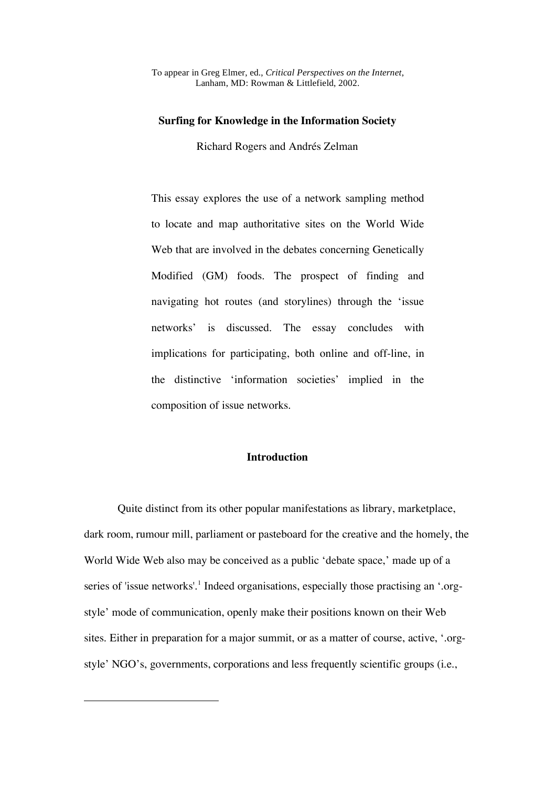To appear in Greg Elmer, ed., *Critical Perspectives on the Internet*, Lanham, MD: Rowman & Littlefield, 2002.

#### **Surfing for Knowledge in the Information Society**

Richard Rogers and Andrés Zelman

This essay explores the use of a network sampling method to locate and map authoritative sites on the World Wide Web that are involved in the debates concerning Genetically Modified (GM) foods. The prospect of finding and navigating hot routes (and storylines) through the 'issue networks' is discussed. The essay concludes with implications for participating, both online and off-line, in the distinctive 'information societies' implied in the composition of issue networks.

## **Introduction**

 Quite distinct from its other popular manifestations as library, marketplace, dark room, rumour mill, parliament or pasteboard for the creative and the homely, the World Wide Web also may be conceived as a public 'debate space,' made up of a series of 'issue networks'.<sup>1</sup> Indeed organisations, especially those practising an '.orgstyle' mode of communication, openly make their positions known on their Web sites. Either in preparation for a major summit, or as a matter of course, active, '.orgstyle' NGO's, governments, corporations and less frequently scientific groups (i.e.,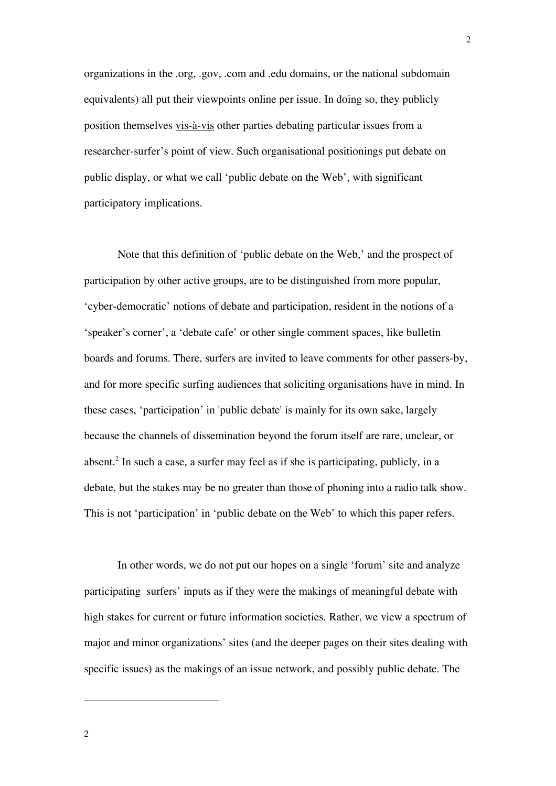organizations in the .org, .gov, .com and .edu domains, or the national subdomain equivalents) all put their viewpoints online per issue. In doing so, they publicly position themselves vis-à-vis other parties debating particular issues from a researcher-surfer's point of view. Such organisational positionings put debate on public display, or what we call 'public debate on the Web', with significant participatory implications.

 Note that this definition of 'public debate on the Web,' and the prospect of participation by other active groups, are to be distinguished from more popular, 'cyber-democratic' notions of debate and participation, resident in the notions of a 'speaker's corner', a 'debate cafe' or other single comment spaces, like bulletin boards and forums. There, surfers are invited to leave comments for other passers-by, and for more specific surfing audiences that soliciting organisations have in mind. In these cases, 'participation' in 'public debate' is mainly for its own sake, largely because the channels of dissemination beyond the forum itself are rare, unclear, or absent.<sup>2</sup> In such a case, a surfer may feel as if she is participating, publicly, in a debate, but the stakes may be no greater than those of phoning into a radio talk show. This is not 'participation' in 'public debate on the Web' to which this paper refers.

In other words, we do not put our hopes on a single 'forum' site and analyze participating surfers' inputs as if they were the makings of meaningful debate with high stakes for current or future information societies. Rather, we view a spectrum of major and minor organizations' sites (and the deeper pages on their sites dealing with specific issues) as the makings of an issue network, and possibly public debate. The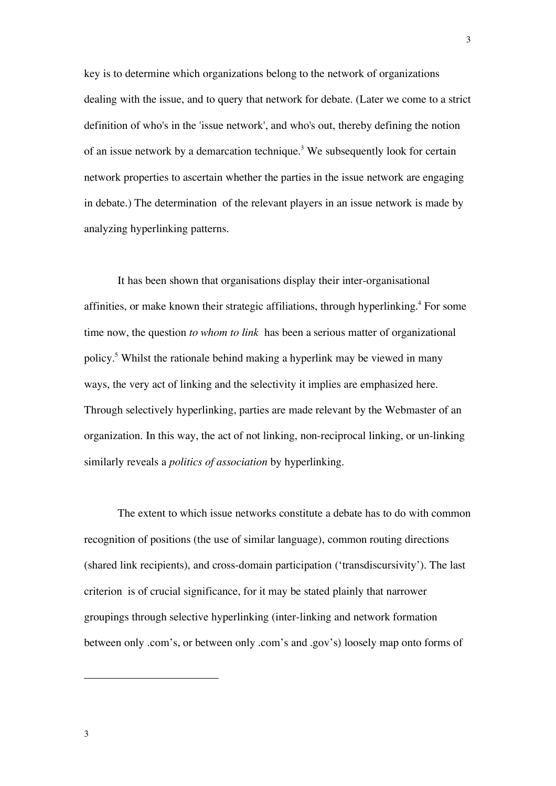key is to determine which organizations belong to the network of organizations dealing with the issue, and to query that network for debate. (Later we come to a strict definition of who's in the 'issue network', and who's out, thereby defining the notion of an issue network by a demarcation technique.<sup>3</sup> We subsequently look for certain network properties to ascertain whether the parties in the issue network are engaging in debate.) The determination of the relevant players in an issue network is made by analyzing hyperlinking patterns.

It has been shown that organisations display their inter-organisational affinities, or make known their strategic affiliations, through hyperlinking.<sup>4</sup> For some time now, the question *to whom to link* has been a serious matter of organizational policy.<sup>5</sup> Whilst the rationale behind making a hyperlink may be viewed in many ways, the very act of linking and the selectivity it implies are emphasized here. Through selectively hyperlinking, parties are made relevant by the Webmaster of an organization. In this way, the act of not linking, non-reciprocal linking, or un-linking similarly reveals a *politics of association* by hyperlinking.

The extent to which issue networks constitute a debate has to do with common recognition of positions (the use of similar language), common routing directions (shared link recipients), and cross-domain participation ('transdiscursivity'). The last criterion is of crucial significance, for it may be stated plainly that narrower groupings through selective hyperlinking (inter-linking and network formation between only .com's, or between only .com's and .gov's) loosely map onto forms of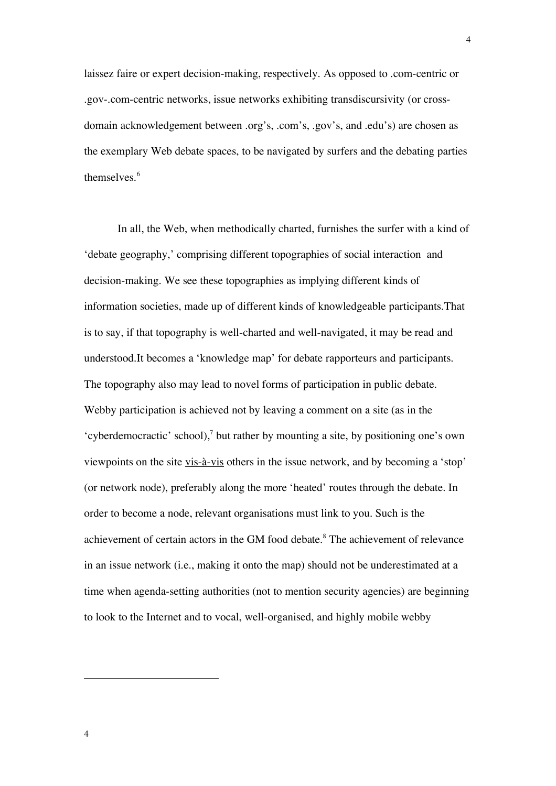laissez faire or expert decision-making, respectively. As opposed to .com-centric or .gov-.com-centric networks, issue networks exhibiting transdiscursivity (or crossdomain acknowledgement between .org's, .com's, .gov's, and .edu's) are chosen as the exemplary Web debate spaces, to be navigated by surfers and the debating parties themselves.<sup>6</sup>

4

 In all, the Web, when methodically charted, furnishes the surfer with a kind of 'debate geography,' comprising different topographies of social interaction and decision-making. We see these topographies as implying different kinds of information societies, made up of different kinds of knowledgeable participants.That is to say, if that topography is well-charted and well-navigated, it may be read and understood.It becomes a 'knowledge map' for debate rapporteurs and participants. The topography also may lead to novel forms of participation in public debate. Webby participation is achieved not by leaving a comment on a site (as in the 'cyberdemocractic' school),<sup>7</sup> but rather by mounting a site, by positioning one's own viewpoints on the site vis-à-vis others in the issue network, and by becoming a 'stop' (or network node), preferably along the more 'heated' routes through the debate. In order to become a node, relevant organisations must link to you. Such is the achievement of certain actors in the GM food debate.<sup>8</sup> The achievement of relevance in an issue network (i.e., making it onto the map) should not be underestimated at a time when agenda-setting authorities (not to mention security agencies) are beginning to look to the Internet and to vocal, well-organised, and highly mobile webby

4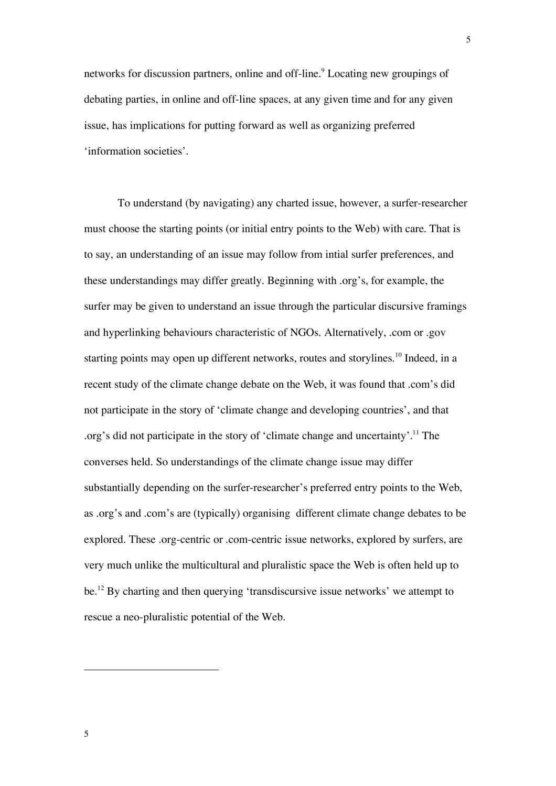networks for discussion partners, online and off-line.<sup>9</sup> Locating new groupings of debating parties, in online and off-line spaces, at any given time and for any given issue, has implications for putting forward as well as organizing preferred 'information societies'.

 To understand (by navigating) any charted issue, however, a surfer-researcher must choose the starting points (or initial entry points to the Web) with care. That is to say, an understanding of an issue may follow from intial surfer preferences, and these understandings may differ greatly. Beginning with .org's, for example, the surfer may be given to understand an issue through the particular discursive framings and hyperlinking behaviours characteristic of NGOs. Alternatively, .com or .gov starting points may open up different networks, routes and storylines.<sup>10</sup> Indeed, in a recent study of the climate change debate on the Web, it was found that .com's did not participate in the story of 'climate change and developing countries', and that .org's did not participate in the story of 'climate change and uncertainty'.11 The converses held. So understandings of the climate change issue may differ substantially depending on the surfer-researcher's preferred entry points to the Web, as .org's and .com's are (typically) organising different climate change debates to be explored. These .org-centric or .com-centric issue networks, explored by surfers, are very much unlike the multicultural and pluralistic space the Web is often held up to be.<sup>12</sup> By charting and then querying 'transdiscursive issue networks' we attempt to rescue a neo-pluralistic potential of the Web.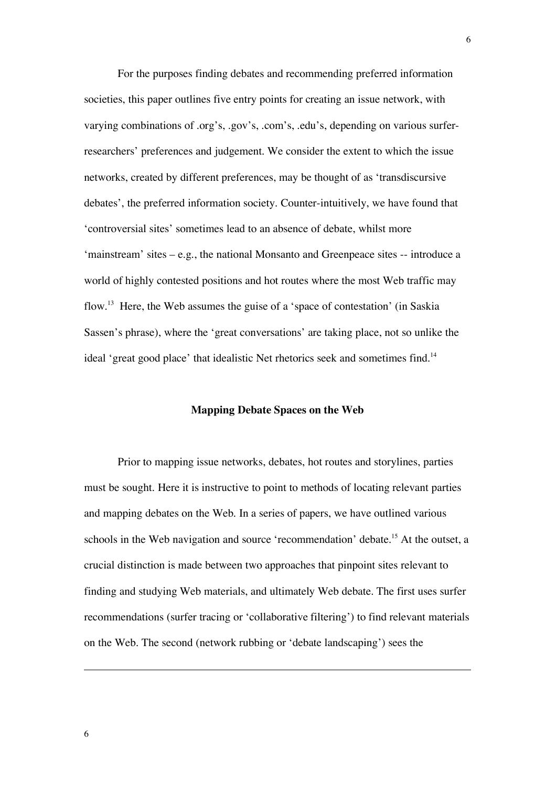For the purposes finding debates and recommending preferred information societies, this paper outlines five entry points for creating an issue network, with varying combinations of .org's, .gov's, .com's, .edu's, depending on various surferresearchers' preferences and judgement. We consider the extent to which the issue networks, created by different preferences, may be thought of as 'transdiscursive debates', the preferred information society. Counter-intuitively, we have found that 'controversial sites' sometimes lead to an absence of debate, whilst more 'mainstream' sites – e.g., the national Monsanto and Greenpeace sites -- introduce a world of highly contested positions and hot routes where the most Web traffic may flow.13 Here, the Web assumes the guise of a 'space of contestation' (in Saskia Sassen's phrase), where the 'great conversations' are taking place, not so unlike the ideal 'great good place' that idealistic Net rhetorics seek and sometimes find.<sup>14</sup>

#### **Mapping Debate Spaces on the Web**

 Prior to mapping issue networks, debates, hot routes and storylines, parties must be sought. Here it is instructive to point to methods of locating relevant parties and mapping debates on the Web. In a series of papers, we have outlined various schools in the Web navigation and source 'recommendation' debate.<sup>15</sup> At the outset, a crucial distinction is made between two approaches that pinpoint sites relevant to finding and studying Web materials, and ultimately Web debate. The first uses surfer recommendations (surfer tracing or 'collaborative filtering') to find relevant materials on the Web. The second (network rubbing or 'debate landscaping') sees the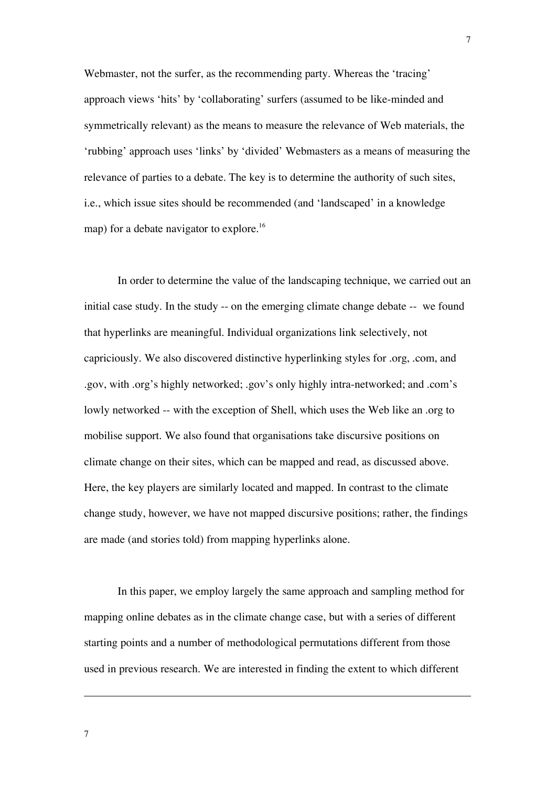Webmaster, not the surfer, as the recommending party. Whereas the 'tracing' approach views 'hits' by 'collaborating' surfers (assumed to be like-minded and symmetrically relevant) as the means to measure the relevance of Web materials, the 'rubbing' approach uses 'links' by 'divided' Webmasters as a means of measuring the relevance of parties to a debate. The key is to determine the authority of such sites, i.e., which issue sites should be recommended (and 'landscaped' in a knowledge map) for a debate navigator to explore.<sup>16</sup>

 In order to determine the value of the landscaping technique, we carried out an initial case study. In the study -- on the emerging climate change debate -- we found that hyperlinks are meaningful. Individual organizations link selectively, not capriciously. We also discovered distinctive hyperlinking styles for .org, .com, and .gov, with .org's highly networked; .gov's only highly intra-networked; and .com's lowly networked -- with the exception of Shell, which uses the Web like an .org to mobilise support. We also found that organisations take discursive positions on climate change on their sites, which can be mapped and read, as discussed above. Here, the key players are similarly located and mapped. In contrast to the climate change study, however, we have not mapped discursive positions; rather, the findings are made (and stories told) from mapping hyperlinks alone.

 In this paper, we employ largely the same approach and sampling method for mapping online debates as in the climate change case, but with a series of different starting points and a number of methodological permutations different from those used in previous research. We are interested in finding the extent to which different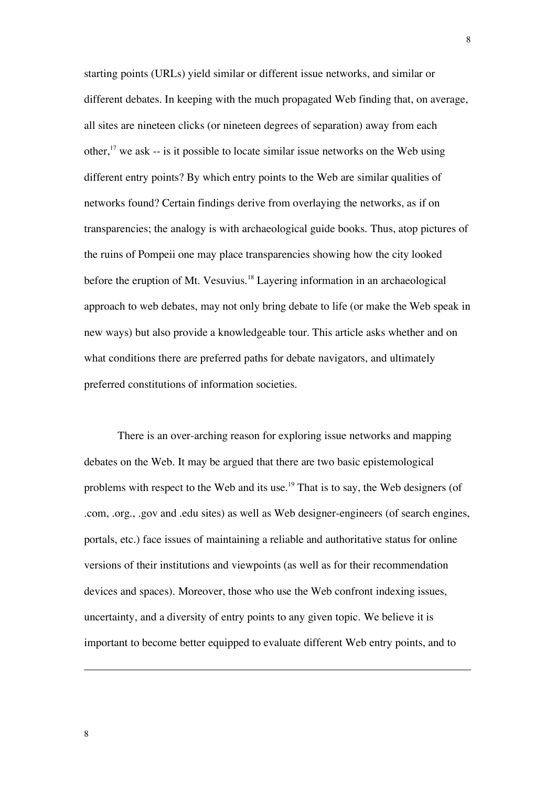starting points (URLs) yield similar or different issue networks, and similar or different debates. In keeping with the much propagated Web finding that, on average, all sites are nineteen clicks (or nineteen degrees of separation) away from each other, $17$  we ask  $-$  is it possible to locate similar issue networks on the Web using different entry points? By which entry points to the Web are similar qualities of networks found? Certain findings derive from overlaying the networks, as if on transparencies; the analogy is with archaeological guide books. Thus, atop pictures of the ruins of Pompeii one may place transparencies showing how the city looked before the eruption of Mt. Vesuvius.<sup>18</sup> Layering information in an archaeological approach to web debates, may not only bring debate to life (or make the Web speak in new ways) but also provide a knowledgeable tour. This article asks whether and on what conditions there are preferred paths for debate navigators, and ultimately preferred constitutions of information societies.

 There is an over-arching reason for exploring issue networks and mapping debates on the Web. It may be argued that there are two basic epistemological problems with respect to the Web and its use.19 That is to say, the Web designers (of .com, .org., .gov and .edu sites) as well as Web designer-engineers (of search engines, portals, etc.) face issues of maintaining a reliable and authoritative status for online versions of their institutions and viewpoints (as well as for their recommendation devices and spaces). Moreover, those who use the Web confront indexing issues, uncertainty, and a diversity of entry points to any given topic. We believe it is important to become better equipped to evaluate different Web entry points, and to

8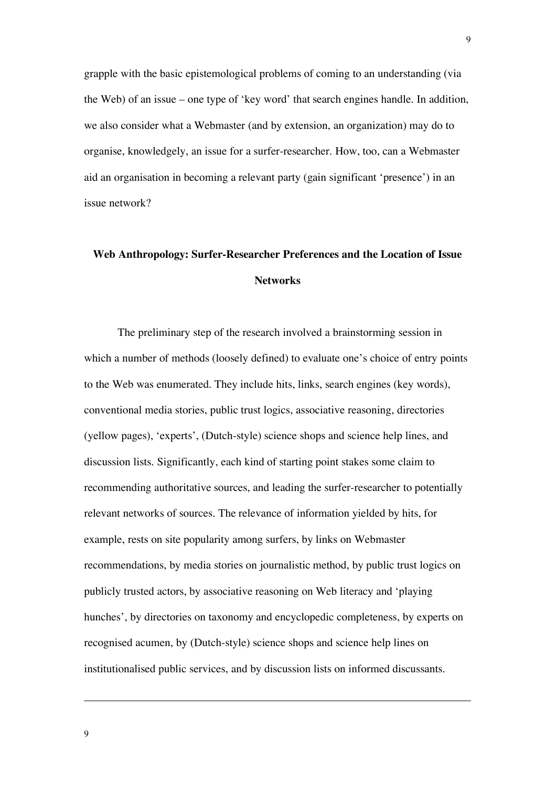grapple with the basic epistemological problems of coming to an understanding (via the Web) of an issue – one type of 'key word' that search engines handle. In addition, we also consider what a Webmaster (and by extension, an organization) may do to organise, knowledgely, an issue for a surfer-researcher. How, too, can a Webmaster aid an organisation in becoming a relevant party (gain significant 'presence') in an issue network?

# **Web Anthropology: Surfer-Researcher Preferences and the Location of Issue Networks**

 The preliminary step of the research involved a brainstorming session in which a number of methods (loosely defined) to evaluate one's choice of entry points to the Web was enumerated. They include hits, links, search engines (key words), conventional media stories, public trust logics, associative reasoning, directories (yellow pages), 'experts', (Dutch-style) science shops and science help lines, and discussion lists. Significantly, each kind of starting point stakes some claim to recommending authoritative sources, and leading the surfer-researcher to potentially relevant networks of sources. The relevance of information yielded by hits, for example, rests on site popularity among surfers, by links on Webmaster recommendations, by media stories on journalistic method, by public trust logics on publicly trusted actors, by associative reasoning on Web literacy and 'playing hunches', by directories on taxonomy and encyclopedic completeness, by experts on recognised acumen, by (Dutch-style) science shops and science help lines on institutionalised public services, and by discussion lists on informed discussants.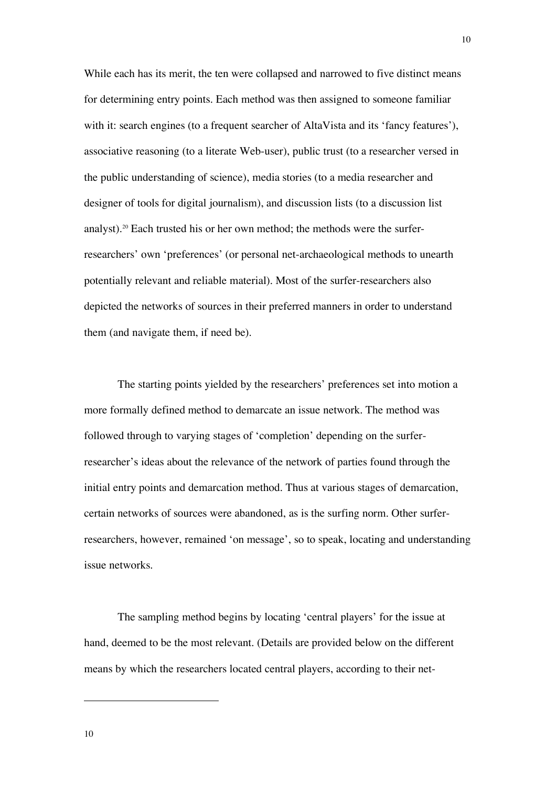While each has its merit, the ten were collapsed and narrowed to five distinct means for determining entry points. Each method was then assigned to someone familiar with it: search engines (to a frequent searcher of AltaVista and its 'fancy features'), associative reasoning (to a literate Web-user), public trust (to a researcher versed in the public understanding of science), media stories (to a media researcher and designer of tools for digital journalism), and discussion lists (to a discussion list analyst).<sup>20</sup> Each trusted his or her own method; the methods were the surferresearchers' own 'preferences' (or personal net-archaeological methods to unearth potentially relevant and reliable material). Most of the surfer-researchers also depicted the networks of sources in their preferred manners in order to understand them (and navigate them, if need be).

 The starting points yielded by the researchers' preferences set into motion a more formally defined method to demarcate an issue network. The method was followed through to varying stages of 'completion' depending on the surferresearcher's ideas about the relevance of the network of parties found through the initial entry points and demarcation method. Thus at various stages of demarcation, certain networks of sources were abandoned, as is the surfing norm. Other surferresearchers, however, remained 'on message', so to speak, locating and understanding issue networks.

 The sampling method begins by locating 'central players' for the issue at hand, deemed to be the most relevant. (Details are provided below on the different means by which the researchers located central players, according to their net-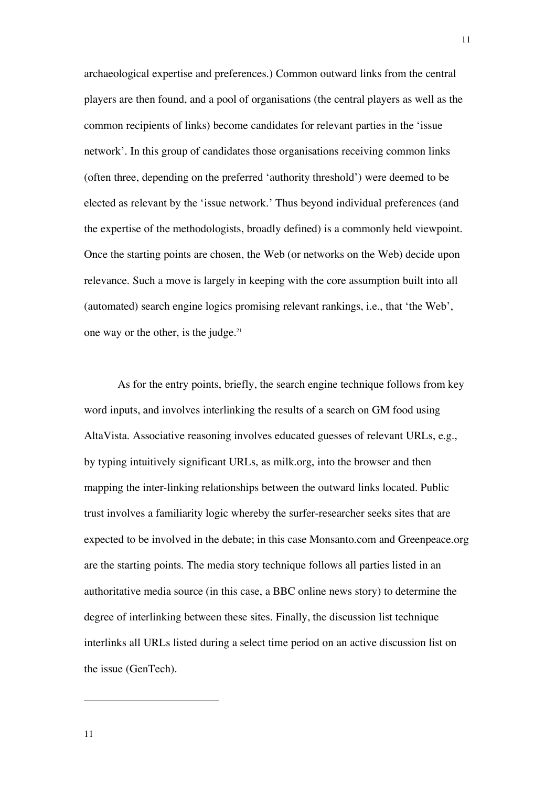archaeological expertise and preferences.) Common outward links from the central players are then found, and a pool of organisations (the central players as well as the common recipients of links) become candidates for relevant parties in the 'issue network'. In this group of candidates those organisations receiving common links (often three, depending on the preferred 'authority threshold') were deemed to be elected as relevant by the 'issue network.' Thus beyond individual preferences (and the expertise of the methodologists, broadly defined) is a commonly held viewpoint. Once the starting points are chosen, the Web (or networks on the Web) decide upon relevance. Such a move is largely in keeping with the core assumption built into all (automated) search engine logics promising relevant rankings, i.e., that 'the Web', one way or the other, is the judge. $21$ 

 As for the entry points, briefly, the search engine technique follows from key word inputs, and involves interlinking the results of a search on GM food using AltaVista. Associative reasoning involves educated guesses of relevant URLs, e.g., by typing intuitively significant URLs, as milk.org, into the browser and then mapping the inter-linking relationships between the outward links located. Public trust involves a familiarity logic whereby the surfer-researcher seeks sites that are expected to be involved in the debate; in this case Monsanto.com and Greenpeace.org are the starting points. The media story technique follows all parties listed in an authoritative media source (in this case, a BBC online news story) to determine the degree of interlinking between these sites. Finally, the discussion list technique interlinks all URLs listed during a select time period on an active discussion list on the issue (GenTech).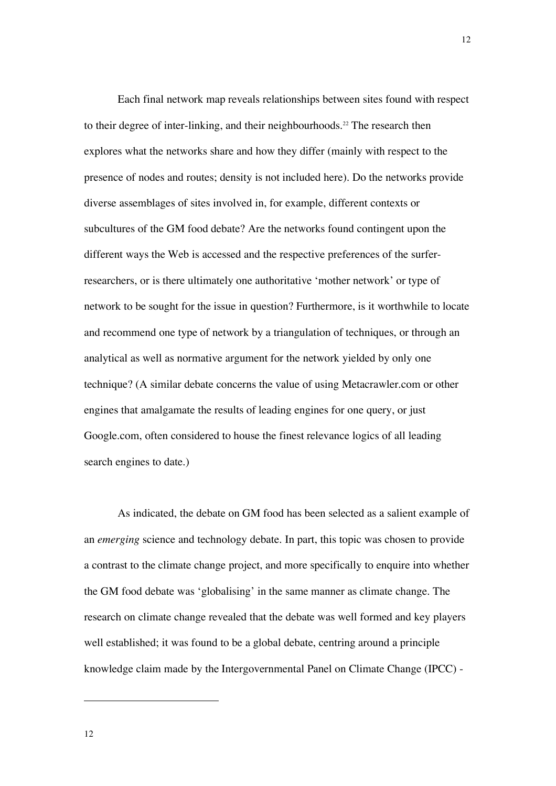Each final network map reveals relationships between sites found with respect to their degree of inter-linking, and their neighbourhoods.<sup>22</sup> The research then explores what the networks share and how they differ (mainly with respect to the presence of nodes and routes; density is not included here). Do the networks provide diverse assemblages of sites involved in, for example, different contexts or subcultures of the GM food debate? Are the networks found contingent upon the different ways the Web is accessed and the respective preferences of the surferresearchers, or is there ultimately one authoritative 'mother network' or type of network to be sought for the issue in question? Furthermore, is it worthwhile to locate and recommend one type of network by a triangulation of techniques, or through an analytical as well as normative argument for the network yielded by only one technique? (A similar debate concerns the value of using Metacrawler.com or other engines that amalgamate the results of leading engines for one query, or just Google.com, often considered to house the finest relevance logics of all leading search engines to date.)

 As indicated, the debate on GM food has been selected as a salient example of an *emerging* science and technology debate. In part, this topic was chosen to provide a contrast to the climate change project, and more specifically to enquire into whether the GM food debate was 'globalising' in the same manner as climate change. The research on climate change revealed that the debate was well formed and key players well established; it was found to be a global debate, centring around a principle knowledge claim made by the Intergovernmental Panel on Climate Change (IPCC) -

12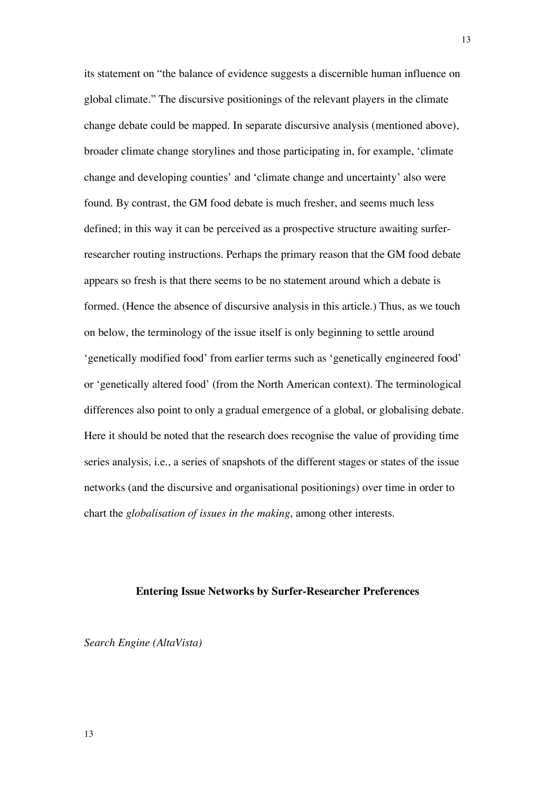its statement on "the balance of evidence suggests a discernible human influence on global climate." The discursive positionings of the relevant players in the climate change debate could be mapped. In separate discursive analysis (mentioned above), broader climate change storylines and those participating in, for example, 'climate change and developing counties' and 'climate change and uncertainty' also were found. By contrast, the GM food debate is much fresher, and seems much less defined; in this way it can be perceived as a prospective structure awaiting surferresearcher routing instructions. Perhaps the primary reason that the GM food debate appears so fresh is that there seems to be no statement around which a debate is formed. (Hence the absence of discursive analysis in this article.) Thus, as we touch on below, the terminology of the issue itself is only beginning to settle around 'genetically modified food' from earlier terms such as 'genetically engineered food' or 'genetically altered food' (from the North American context). The terminological differences also point to only a gradual emergence of a global, or globalising debate. Here it should be noted that the research does recognise the value of providing time series analysis, i.e., a series of snapshots of the different stages or states of the issue networks (and the discursive and organisational positionings) over time in order to chart the *globalisation of issues in the making*, among other interests.

13

#### **Entering Issue Networks by Surfer-Researcher Preferences**

*Search Engine (AltaVista)* 

13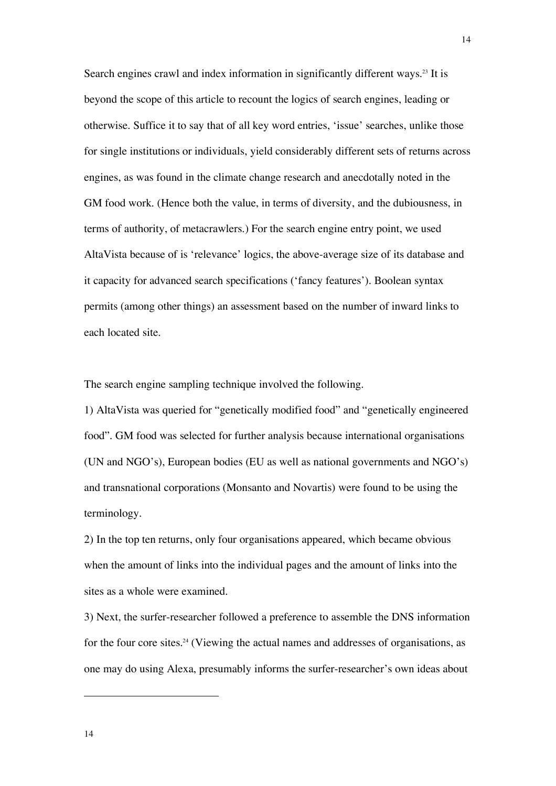Search engines crawl and index information in significantly different ways.<sup>23</sup> It is beyond the scope of this article to recount the logics of search engines, leading or otherwise. Suffice it to say that of all key word entries, 'issue' searches, unlike those for single institutions or individuals, yield considerably different sets of returns across engines, as was found in the climate change research and anecdotally noted in the GM food work. (Hence both the value, in terms of diversity, and the dubiousness, in terms of authority, of metacrawlers.) For the search engine entry point, we used AltaVista because of is 'relevance' logics, the above-average size of its database and it capacity for advanced search specifications ('fancy features'). Boolean syntax permits (among other things) an assessment based on the number of inward links to each located site.

The search engine sampling technique involved the following.

1) AltaVista was queried for "genetically modified food" and "genetically engineered food". GM food was selected for further analysis because international organisations (UN and NGO's), European bodies (EU as well as national governments and NGO's) and transnational corporations (Monsanto and Novartis) were found to be using the terminology.

2) In the top ten returns, only four organisations appeared, which became obvious when the amount of links into the individual pages and the amount of links into the sites as a whole were examined.

3) Next, the surfer-researcher followed a preference to assemble the DNS information for the four core sites.<sup>24</sup> (Viewing the actual names and addresses of organisations, as one may do using Alexa, presumably informs the surfer-researcher's own ideas about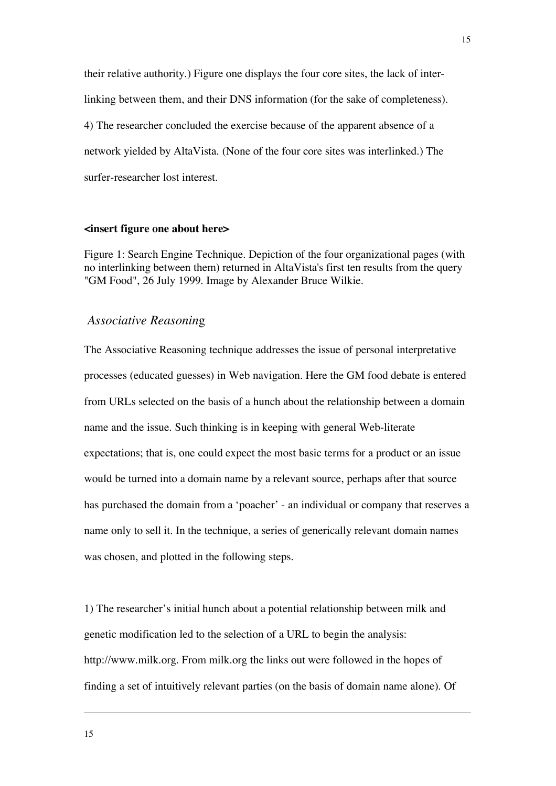their relative authority.) Figure one displays the four core sites, the lack of interlinking between them, and their DNS information (for the sake of completeness). 4) The researcher concluded the exercise because of the apparent absence of a network yielded by AltaVista. (None of the four core sites was interlinked.) The surfer-researcher lost interest.

## **<insert figure one about here>**

Figure 1: Search Engine Technique. Depiction of the four organizational pages (with no interlinking between them) returned in AltaVista's first ten results from the query "GM Food", 26 July 1999. Image by Alexander Bruce Wilkie.

### *Associative Reasonin*g

The Associative Reasoning technique addresses the issue of personal interpretative processes (educated guesses) in Web navigation. Here the GM food debate is entered from URLs selected on the basis of a hunch about the relationship between a domain name and the issue. Such thinking is in keeping with general Web-literate expectations; that is, one could expect the most basic terms for a product or an issue would be turned into a domain name by a relevant source, perhaps after that source has purchased the domain from a 'poacher' - an individual or company that reserves a name only to sell it. In the technique, a series of generically relevant domain names was chosen, and plotted in the following steps.

1) The researcher's initial hunch about a potential relationship between milk and genetic modification led to the selection of a URL to begin the analysis: http://www.milk.org. From milk.org the links out were followed in the hopes of finding a set of intuitively relevant parties (on the basis of domain name alone). Of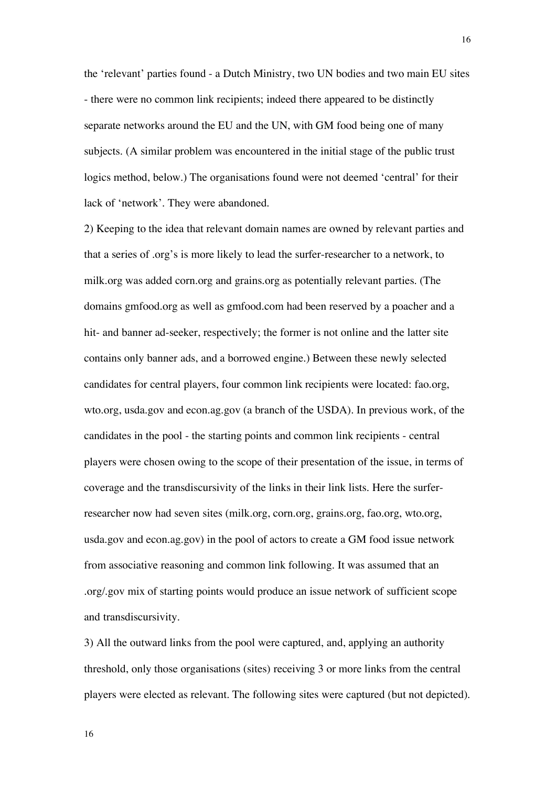the 'relevant' parties found - a Dutch Ministry, two UN bodies and two main EU sites - there were no common link recipients; indeed there appeared to be distinctly separate networks around the EU and the UN, with GM food being one of many subjects. (A similar problem was encountered in the initial stage of the public trust logics method, below.) The organisations found were not deemed 'central' for their lack of 'network'. They were abandoned.

2) Keeping to the idea that relevant domain names are owned by relevant parties and that a series of .org's is more likely to lead the surfer-researcher to a network, to milk.org was added corn.org and grains.org as potentially relevant parties. (The domains gmfood.org as well as gmfood.com had been reserved by a poacher and a hit- and banner ad-seeker, respectively; the former is not online and the latter site contains only banner ads, and a borrowed engine.) Between these newly selected candidates for central players, four common link recipients were located: fao.org, wto.org, usda.gov and econ.ag.gov (a branch of the USDA). In previous work, of the candidates in the pool - the starting points and common link recipients - central players were chosen owing to the scope of their presentation of the issue, in terms of coverage and the transdiscursivity of the links in their link lists. Here the surferresearcher now had seven sites (milk.org, corn.org, grains.org, fao.org, wto.org, usda.gov and econ.ag.gov) in the pool of actors to create a GM food issue network from associative reasoning and common link following. It was assumed that an .org/.gov mix of starting points would produce an issue network of sufficient scope and transdiscursivity.

3) All the outward links from the pool were captured, and, applying an authority threshold, only those organisations (sites) receiving 3 or more links from the central players were elected as relevant. The following sites were captured (but not depicted).

16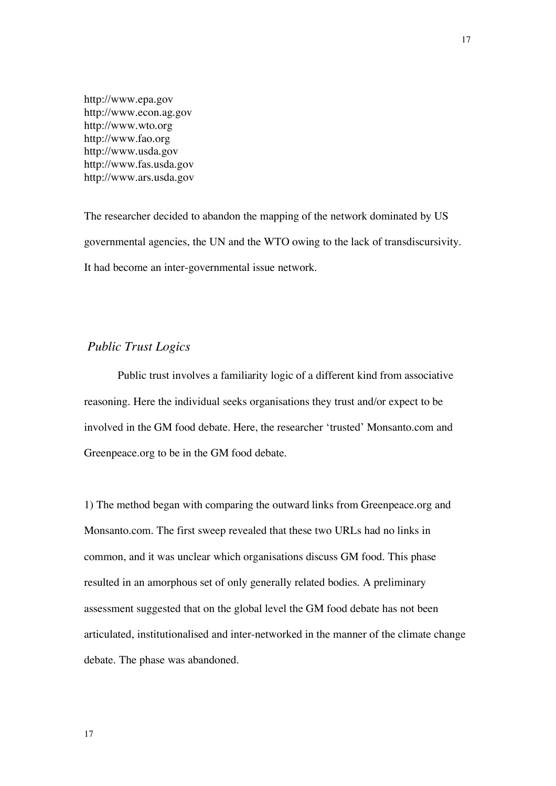http://www.epa.gov http://www.econ.ag.gov http://www.wto.org http://www.fao.org http://www.usda.gov http://www.fas.usda.gov http://www.ars.usda.gov

The researcher decided to abandon the mapping of the network dominated by US governmental agencies, the UN and the WTO owing to the lack of transdiscursivity. It had become an inter-governmental issue network.

## *Public Trust Logics*

Public trust involves a familiarity logic of a different kind from associative reasoning. Here the individual seeks organisations they trust and/or expect to be involved in the GM food debate. Here, the researcher 'trusted' Monsanto.com and Greenpeace.org to be in the GM food debate.

1) The method began with comparing the outward links from Greenpeace.org and Monsanto.com. The first sweep revealed that these two URLs had no links in common, and it was unclear which organisations discuss GM food. This phase resulted in an amorphous set of only generally related bodies. A preliminary assessment suggested that on the global level the GM food debate has not been articulated, institutionalised and inter-networked in the manner of the climate change debate. The phase was abandoned.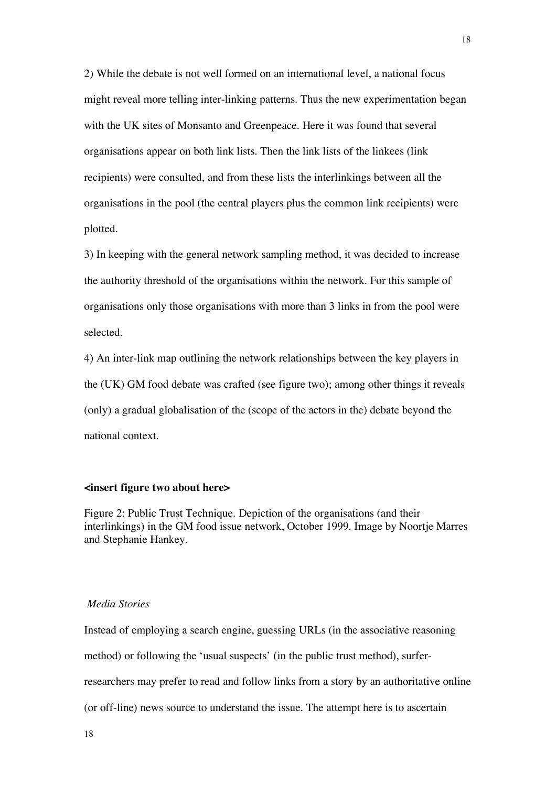2) While the debate is not well formed on an international level, a national focus might reveal more telling inter-linking patterns. Thus the new experimentation began with the UK sites of Monsanto and Greenpeace. Here it was found that several organisations appear on both link lists. Then the link lists of the linkees (link recipients) were consulted, and from these lists the interlinkings between all the organisations in the pool (the central players plus the common link recipients) were plotted.

3) In keeping with the general network sampling method, it was decided to increase the authority threshold of the organisations within the network. For this sample of organisations only those organisations with more than 3 links in from the pool were selected.

4) An inter-link map outlining the network relationships between the key players in the (UK) GM food debate was crafted (see figure two); among other things it reveals (only) a gradual globalisation of the (scope of the actors in the) debate beyond the national context.

#### **<insert figure two about here>**

Figure 2: Public Trust Technique. Depiction of the organisations (and their interlinkings) in the GM food issue network, October 1999. Image by Noortje Marres and Stephanie Hankey.

#### *Media Stories*

Instead of employing a search engine, guessing URLs (in the associative reasoning method) or following the 'usual suspects' (in the public trust method), surferresearchers may prefer to read and follow links from a story by an authoritative online (or off-line) news source to understand the issue. The attempt here is to ascertain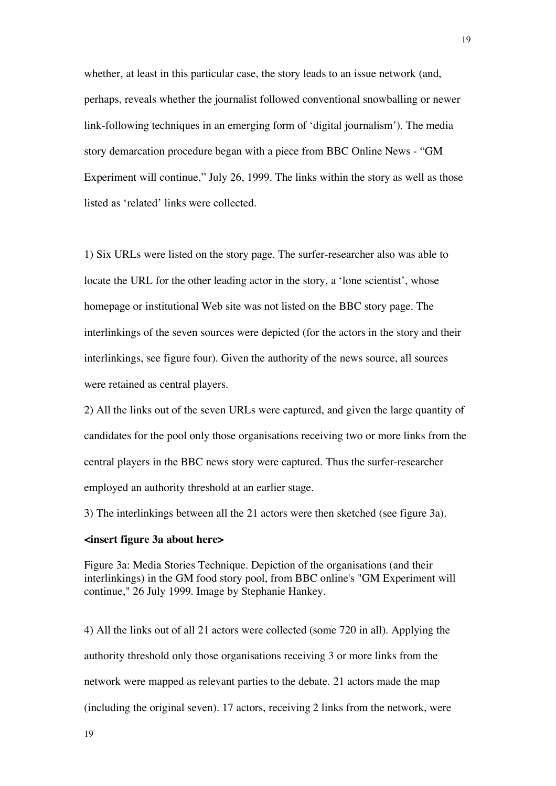whether, at least in this particular case, the story leads to an issue network (and, perhaps, reveals whether the journalist followed conventional snowballing or newer link-following techniques in an emerging form of 'digital journalism'). The media story demarcation procedure began with a piece from BBC Online News - "GM Experiment will continue," July 26, 1999. The links within the story as well as those listed as 'related' links were collected.

1) Six URLs were listed on the story page. The surfer-researcher also was able to locate the URL for the other leading actor in the story, a 'lone scientist', whose homepage or institutional Web site was not listed on the BBC story page. The interlinkings of the seven sources were depicted (for the actors in the story and their interlinkings, see figure four). Given the authority of the news source, all sources were retained as central players.

2) All the links out of the seven URLs were captured, and given the large quantity of candidates for the pool only those organisations receiving two or more links from the central players in the BBC news story were captured. Thus the surfer-researcher employed an authority threshold at an earlier stage.

3) The interlinkings between all the 21 actors were then sketched (see figure 3a).

#### **<insert figure 3a about here>**

Figure 3a: Media Stories Technique. Depiction of the organisations (and their interlinkings) in the GM food story pool, from BBC online's "GM Experiment will continue," 26 July 1999. Image by Stephanie Hankey.

4) All the links out of all 21 actors were collected (some 720 in all). Applying the authority threshold only those organisations receiving 3 or more links from the network were mapped as relevant parties to the debate. 21 actors made the map (including the original seven). 17 actors, receiving 2 links from the network, were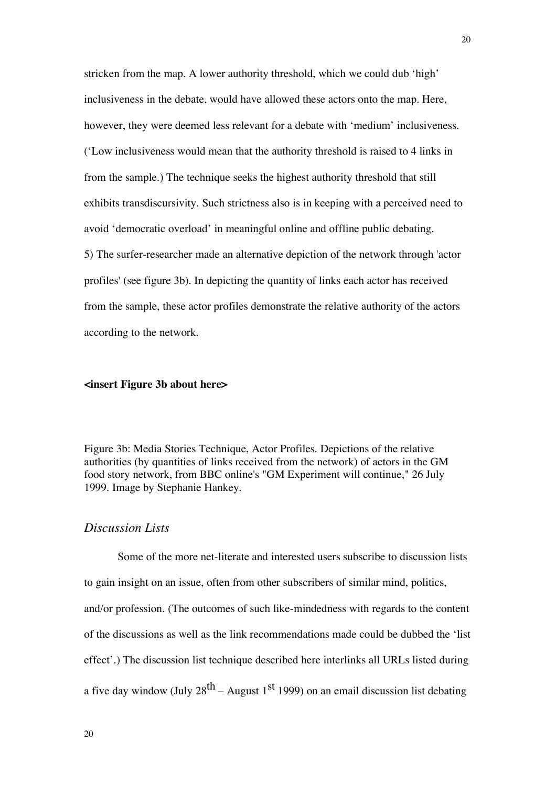stricken from the map. A lower authority threshold, which we could dub 'high' inclusiveness in the debate, would have allowed these actors onto the map. Here, however, they were deemed less relevant for a debate with 'medium' inclusiveness. ('Low inclusiveness would mean that the authority threshold is raised to 4 links in from the sample.) The technique seeks the highest authority threshold that still exhibits transdiscursivity. Such strictness also is in keeping with a perceived need to avoid 'democratic overload' in meaningful online and offline public debating. 5) The surfer-researcher made an alternative depiction of the network through 'actor profiles' (see figure 3b). In depicting the quantity of links each actor has received from the sample, these actor profiles demonstrate the relative authority of the actors according to the network.

#### **<insert Figure 3b about here>**

Figure 3b: Media Stories Technique, Actor Profiles. Depictions of the relative authorities (by quantities of links received from the network) of actors in the GM food story network, from BBC online's "GM Experiment will continue," 26 July 1999. Image by Stephanie Hankey.

# *Discussion Lists*

 Some of the more net-literate and interested users subscribe to discussion lists to gain insight on an issue, often from other subscribers of similar mind, politics, and/or profession. (The outcomes of such like-mindedness with regards to the content of the discussions as well as the link recommendations made could be dubbed the 'list effect'.) The discussion list technique described here interlinks all URLs listed during a five day window (July  $28^{th}$  – August 1<sup>st</sup> 1999) on an email discussion list debating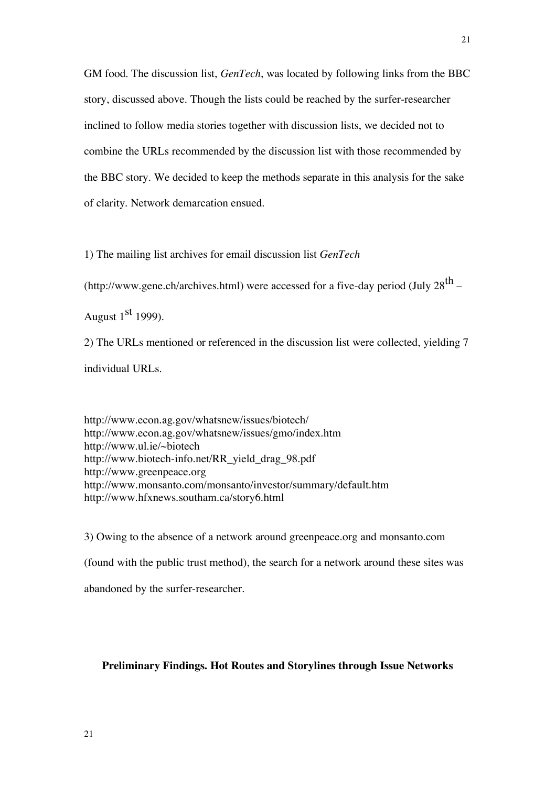GM food. The discussion list, *GenTech*, was located by following links from the BBC story, discussed above. Though the lists could be reached by the surfer-researcher inclined to follow media stories together with discussion lists, we decided not to combine the URLs recommended by the discussion list with those recommended by the BBC story. We decided to keep the methods separate in this analysis for the sake of clarity. Network demarcation ensued.

1) The mailing list archives for email discussion list *GenTech*

(http://www.gene.ch/archives.html) were accessed for a five-day period (July  $28^{th}$  –

August  $1<sup>st</sup>$  1999).

2) The URLs mentioned or referenced in the discussion list were collected, yielding 7 individual URLs.

http://www.econ.ag.gov/whatsnew/issues/biotech/ http://www.econ.ag.gov/whatsnew/issues/gmo/index.htm http://www.ul.ie/~biotech http://www.biotech-info.net/RR\_yield\_drag\_98.pdf http://www.greenpeace.org http://www.monsanto.com/monsanto/investor/summary/default.htm http://www.hfxnews.southam.ca/story6.html

3) Owing to the absence of a network around greenpeace.org and monsanto.com (found with the public trust method), the search for a network around these sites was abandoned by the surfer-researcher.

## **Preliminary Findings. Hot Routes and Storylines through Issue Networks**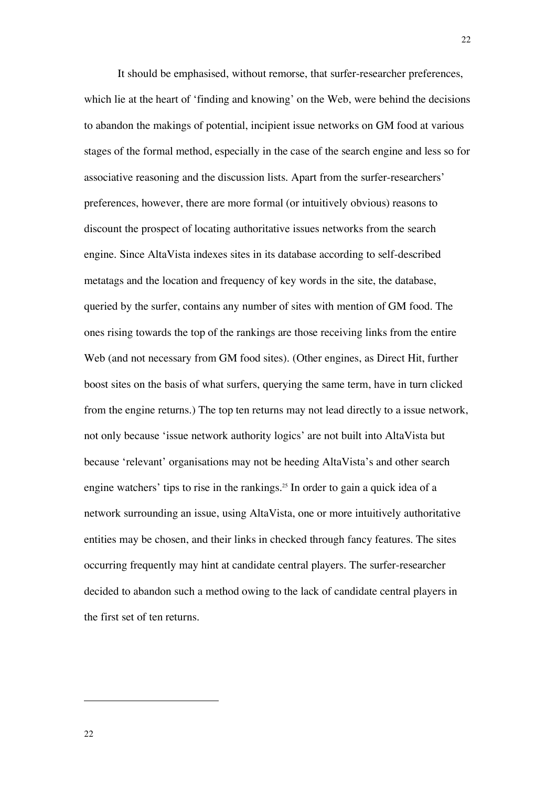It should be emphasised, without remorse, that surfer-researcher preferences, which lie at the heart of 'finding and knowing' on the Web, were behind the decisions to abandon the makings of potential, incipient issue networks on GM food at various stages of the formal method, especially in the case of the search engine and less so for associative reasoning and the discussion lists. Apart from the surfer-researchers' preferences, however, there are more formal (or intuitively obvious) reasons to discount the prospect of locating authoritative issues networks from the search engine. Since AltaVista indexes sites in its database according to self-described metatags and the location and frequency of key words in the site, the database, queried by the surfer, contains any number of sites with mention of GM food. The ones rising towards the top of the rankings are those receiving links from the entire Web (and not necessary from GM food sites). (Other engines, as Direct Hit, further boost sites on the basis of what surfers, querying the same term, have in turn clicked from the engine returns.) The top ten returns may not lead directly to a issue network, not only because 'issue network authority logics' are not built into AltaVista but because 'relevant' organisations may not be heeding AltaVista's and other search engine watchers' tips to rise in the rankings.<sup>25</sup> In order to gain a quick idea of a network surrounding an issue, using AltaVista, one or more intuitively authoritative entities may be chosen, and their links in checked through fancy features. The sites occurring frequently may hint at candidate central players. The surfer-researcher decided to abandon such a method owing to the lack of candidate central players in the first set of ten returns.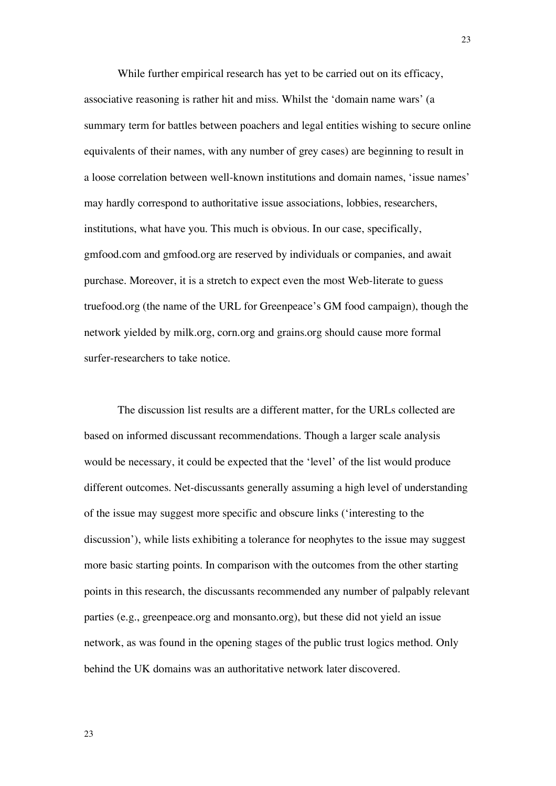While further empirical research has yet to be carried out on its efficacy, associative reasoning is rather hit and miss. Whilst the 'domain name wars' (a summary term for battles between poachers and legal entities wishing to secure online equivalents of their names, with any number of grey cases) are beginning to result in a loose correlation between well-known institutions and domain names, 'issue names' may hardly correspond to authoritative issue associations, lobbies, researchers, institutions, what have you. This much is obvious. In our case, specifically, gmfood.com and gmfood.org are reserved by individuals or companies, and await purchase. Moreover, it is a stretch to expect even the most Web-literate to guess truefood.org (the name of the URL for Greenpeace's GM food campaign), though the network yielded by milk.org, corn.org and grains.org should cause more formal surfer-researchers to take notice.

 The discussion list results are a different matter, for the URLs collected are based on informed discussant recommendations. Though a larger scale analysis would be necessary, it could be expected that the 'level' of the list would produce different outcomes. Net-discussants generally assuming a high level of understanding of the issue may suggest more specific and obscure links ('interesting to the discussion'), while lists exhibiting a tolerance for neophytes to the issue may suggest more basic starting points. In comparison with the outcomes from the other starting points in this research, the discussants recommended any number of palpably relevant parties (e.g., greenpeace.org and monsanto.org), but these did not yield an issue network, as was found in the opening stages of the public trust logics method. Only behind the UK domains was an authoritative network later discovered.

23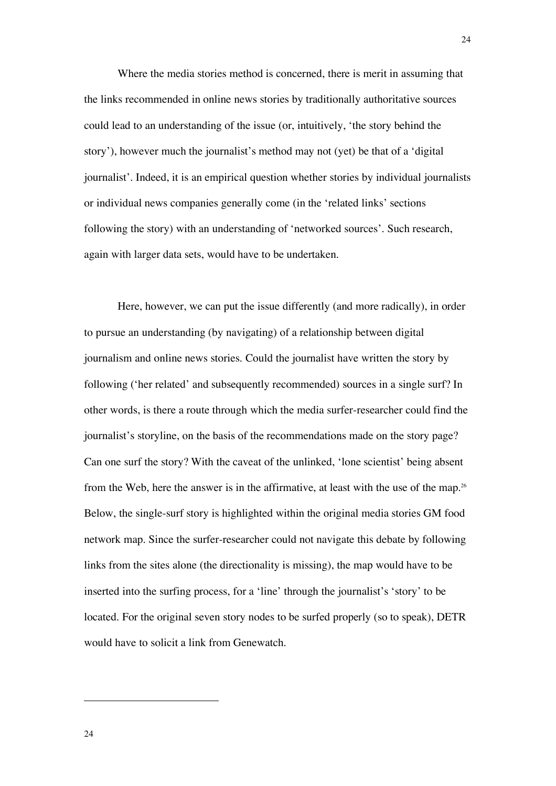Where the media stories method is concerned, there is merit in assuming that the links recommended in online news stories by traditionally authoritative sources could lead to an understanding of the issue (or, intuitively, 'the story behind the story'), however much the journalist's method may not (yet) be that of a 'digital journalist'. Indeed, it is an empirical question whether stories by individual journalists or individual news companies generally come (in the 'related links' sections following the story) with an understanding of 'networked sources'. Such research, again with larger data sets, would have to be undertaken.

 Here, however, we can put the issue differently (and more radically), in order to pursue an understanding (by navigating) of a relationship between digital journalism and online news stories. Could the journalist have written the story by following ('her related' and subsequently recommended) sources in a single surf? In other words, is there a route through which the media surfer-researcher could find the journalist's storyline, on the basis of the recommendations made on the story page? Can one surf the story? With the caveat of the unlinked, 'lone scientist' being absent from the Web, here the answer is in the affirmative, at least with the use of the map.26 Below, the single-surf story is highlighted within the original media stories GM food network map. Since the surfer-researcher could not navigate this debate by following links from the sites alone (the directionality is missing), the map would have to be inserted into the surfing process, for a 'line' through the journalist's 'story' to be located. For the original seven story nodes to be surfed properly (so to speak), DETR would have to solicit a link from Genewatch.

24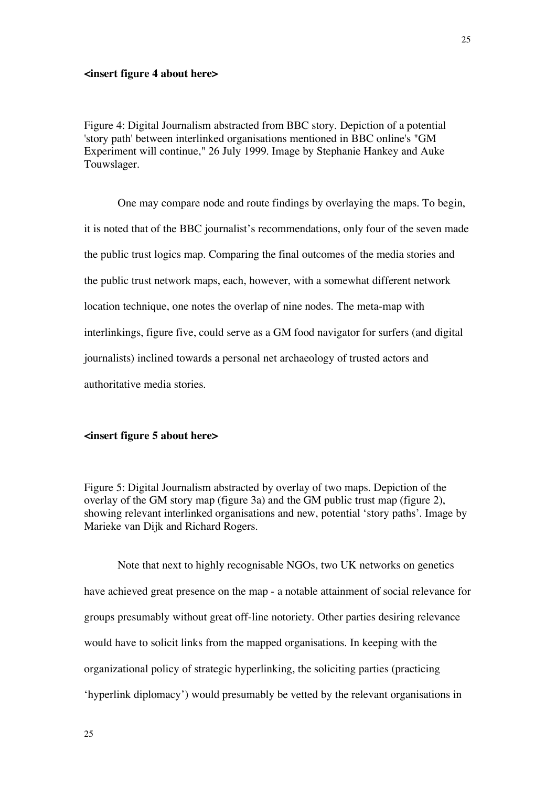#### **<insert figure 4 about here>**

Figure 4: Digital Journalism abstracted from BBC story. Depiction of a potential 'story path' between interlinked organisations mentioned in BBC online's "GM Experiment will continue," 26 July 1999. Image by Stephanie Hankey and Auke Touwslager.

 One may compare node and route findings by overlaying the maps. To begin, it is noted that of the BBC journalist's recommendations, only four of the seven made the public trust logics map. Comparing the final outcomes of the media stories and the public trust network maps, each, however, with a somewhat different network location technique, one notes the overlap of nine nodes. The meta-map with interlinkings, figure five, could serve as a GM food navigator for surfers (and digital journalists) inclined towards a personal net archaeology of trusted actors and authoritative media stories.

## **<insert figure 5 about here>**

Figure 5: Digital Journalism abstracted by overlay of two maps. Depiction of the overlay of the GM story map (figure 3a) and the GM public trust map (figure 2), showing relevant interlinked organisations and new, potential 'story paths'. Image by Marieke van Dijk and Richard Rogers.

 Note that next to highly recognisable NGOs, two UK networks on genetics have achieved great presence on the map - a notable attainment of social relevance for groups presumably without great off-line notoriety. Other parties desiring relevance would have to solicit links from the mapped organisations. In keeping with the organizational policy of strategic hyperlinking, the soliciting parties (practicing 'hyperlink diplomacy') would presumably be vetted by the relevant organisations in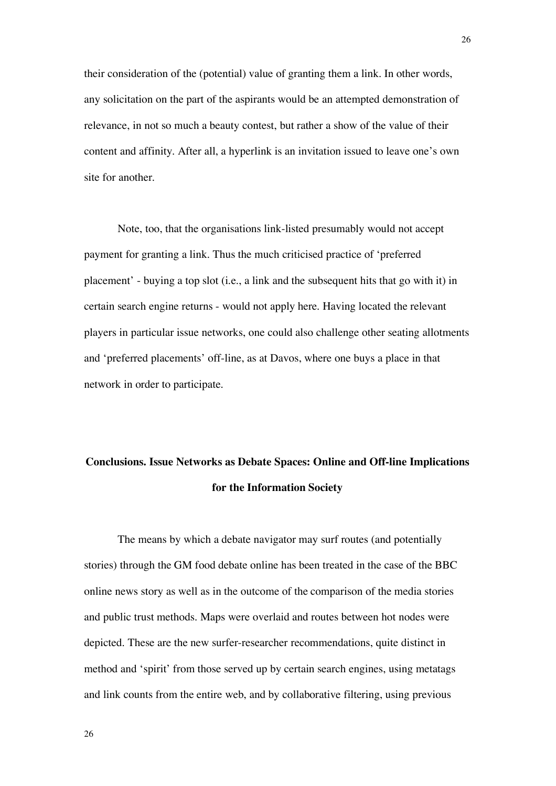their consideration of the (potential) value of granting them a link. In other words, any solicitation on the part of the aspirants would be an attempted demonstration of relevance, in not so much a beauty contest, but rather a show of the value of their content and affinity. After all, a hyperlink is an invitation issued to leave one's own site for another.

 Note, too, that the organisations link-listed presumably would not accept payment for granting a link. Thus the much criticised practice of 'preferred placement' - buying a top slot (i.e., a link and the subsequent hits that go with it) in certain search engine returns - would not apply here. Having located the relevant players in particular issue networks, one could also challenge other seating allotments and 'preferred placements' off-line, as at Davos, where one buys a place in that network in order to participate.

# **Conclusions. Issue Networks as Debate Spaces: Online and Off-line Implications for the Information Society**

 The means by which a debate navigator may surf routes (and potentially stories) through the GM food debate online has been treated in the case of the BBC online news story as well as in the outcome of the comparison of the media stories and public trust methods. Maps were overlaid and routes between hot nodes were depicted. These are the new surfer-researcher recommendations, quite distinct in method and 'spirit' from those served up by certain search engines, using metatags and link counts from the entire web, and by collaborative filtering, using previous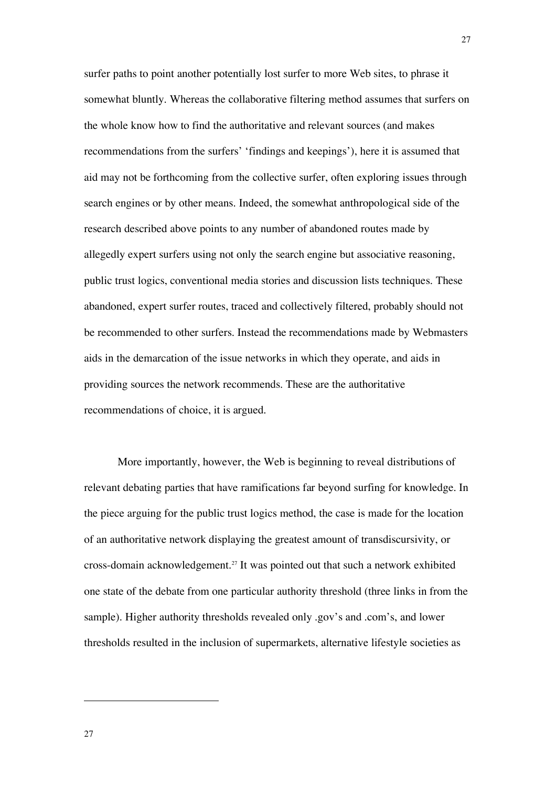surfer paths to point another potentially lost surfer to more Web sites, to phrase it somewhat bluntly. Whereas the collaborative filtering method assumes that surfers on the whole know how to find the authoritative and relevant sources (and makes recommendations from the surfers' 'findings and keepings'), here it is assumed that aid may not be forthcoming from the collective surfer, often exploring issues through search engines or by other means. Indeed, the somewhat anthropological side of the research described above points to any number of abandoned routes made by allegedly expert surfers using not only the search engine but associative reasoning, public trust logics, conventional media stories and discussion lists techniques. These abandoned, expert surfer routes, traced and collectively filtered, probably should not be recommended to other surfers. Instead the recommendations made by Webmasters aids in the demarcation of the issue networks in which they operate, and aids in providing sources the network recommends. These are the authoritative recommendations of choice, it is argued.

 More importantly, however, the Web is beginning to reveal distributions of relevant debating parties that have ramifications far beyond surfing for knowledge. In the piece arguing for the public trust logics method, the case is made for the location of an authoritative network displaying the greatest amount of transdiscursivity, or cross-domain acknowledgement.27 It was pointed out that such a network exhibited one state of the debate from one particular authority threshold (three links in from the sample). Higher authority thresholds revealed only .gov's and .com's, and lower thresholds resulted in the inclusion of supermarkets, alternative lifestyle societies as

27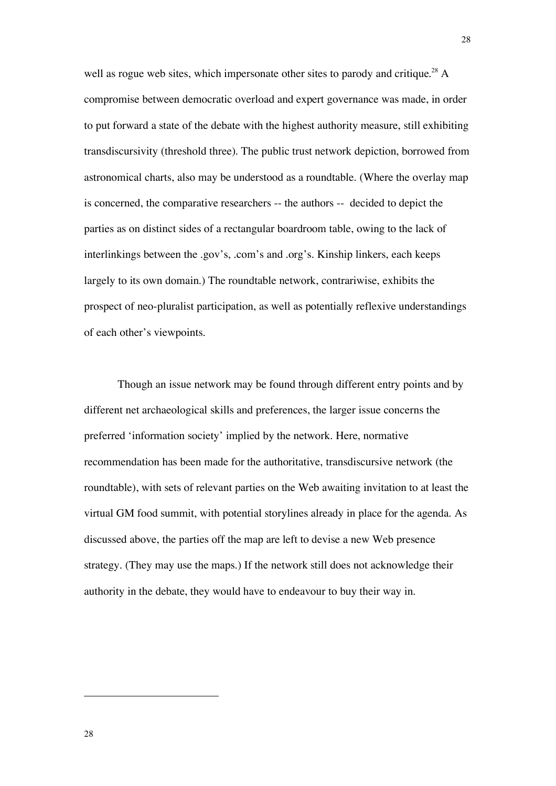well as rogue web sites, which impersonate other sites to parody and critique.<sup>28</sup> A compromise between democratic overload and expert governance was made, in order to put forward a state of the debate with the highest authority measure, still exhibiting transdiscursivity (threshold three). The public trust network depiction, borrowed from astronomical charts, also may be understood as a roundtable. (Where the overlay map is concerned, the comparative researchers -- the authors -- decided to depict the parties as on distinct sides of a rectangular boardroom table, owing to the lack of interlinkings between the .gov's, .com's and .org's. Kinship linkers, each keeps largely to its own domain.) The roundtable network, contrariwise, exhibits the prospect of neo-pluralist participation, as well as potentially reflexive understandings of each other's viewpoints.

 Though an issue network may be found through different entry points and by different net archaeological skills and preferences, the larger issue concerns the preferred 'information society' implied by the network. Here, normative recommendation has been made for the authoritative, transdiscursive network (the roundtable), with sets of relevant parties on the Web awaiting invitation to at least the virtual GM food summit, with potential storylines already in place for the agenda. As discussed above, the parties off the map are left to devise a new Web presence strategy. (They may use the maps.) If the network still does not acknowledge their authority in the debate, they would have to endeavour to buy their way in.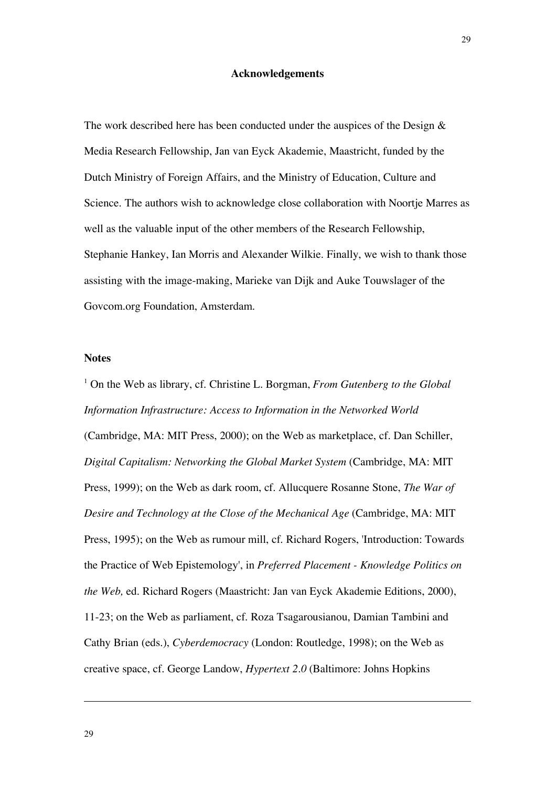#### **Acknowledgements**

The work described here has been conducted under the auspices of the Design & Media Research Fellowship, Jan van Eyck Akademie, Maastricht, funded by the Dutch Ministry of Foreign Affairs, and the Ministry of Education, Culture and Science. The authors wish to acknowledge close collaboration with Noortje Marres as well as the valuable input of the other members of the Research Fellowship, Stephanie Hankey, Ian Morris and Alexander Wilkie. Finally, we wish to thank those assisting with the image-making, Marieke van Dijk and Auke Touwslager of the Govcom.org Foundation, Amsterdam.

#### **Notes**

<sup>1</sup> On the Web as library, cf. Christine L. Borgman, *From Gutenberg to the Global Information Infrastructure: Access to Information in the Networked World* (Cambridge, MA: MIT Press, 2000); on the Web as marketplace, cf. Dan Schiller, *Digital Capitalism: Networking the Global Market System* (Cambridge, MA: MIT Press, 1999); on the Web as dark room, cf. Allucquere Rosanne Stone, *The War of Desire and Technology at the Close of the Mechanical Age* (Cambridge, MA: MIT Press, 1995); on the Web as rumour mill, cf. Richard Rogers, 'Introduction: Towards the Practice of Web Epistemology', in *Preferred Placement - Knowledge Politics on the Web,* ed. Richard Rogers (Maastricht: Jan van Eyck Akademie Editions, 2000), 11-23; on the Web as parliament, cf. Roza Tsagarousianou, Damian Tambini and Cathy Brian (eds.), *Cyberdemocracy* (London: Routledge, 1998); on the Web as creative space, cf. George Landow, *Hypertext 2.0* (Baltimore: Johns Hopkins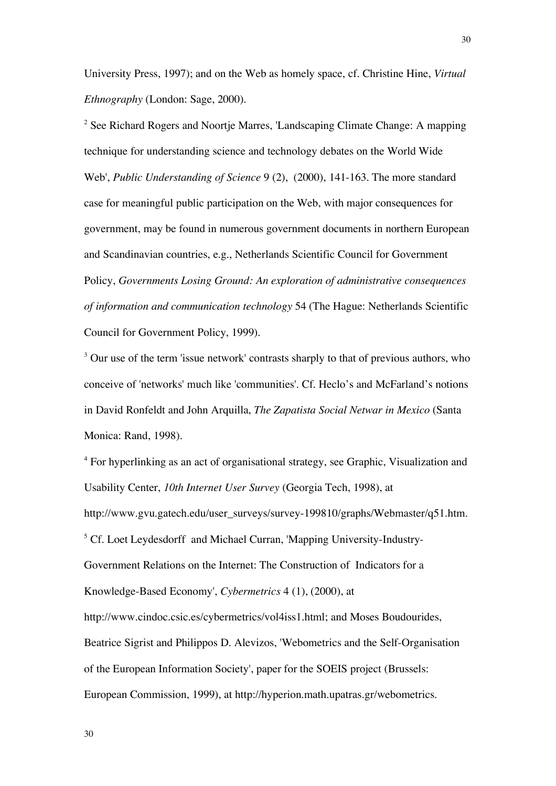University Press, 1997); and on the Web as homely space, cf. Christine Hine, *Virtual Ethnography* (London: Sage, 2000).

<sup>2</sup> See Richard Rogers and Noortje Marres, 'Landscaping Climate Change: A mapping technique for understanding science and technology debates on the World Wide Web', *Public Understanding of Science* 9 (2), (2000), 141-163. The more standard case for meaningful public participation on the Web, with major consequences for government, may be found in numerous government documents in northern European and Scandinavian countries, e.g., Netherlands Scientific Council for Government Policy, *Governments Losing Ground: An exploration of administrative consequences of information and communication technology* 54 (The Hague: Netherlands Scientific Council for Government Policy, 1999).

 $3$  Our use of the term 'issue network' contrasts sharply to that of previous authors, who conceive of 'networks' much like 'communities'. Cf. Heclo's and McFarland's notions in David Ronfeldt and John Arquilla, *The Zapatista Social Netwar in Mexico* (Santa Monica: Rand, 1998).

<sup>4</sup> For hyperlinking as an act of organisational strategy, see Graphic, Visualization and Usability Center, *10th Internet User Survey* (Georgia Tech, 1998), at http://www.gvu.gatech.edu/user\_surveys/survey-199810/graphs/Webmaster/q51.htm. <sup>5</sup> Cf. Loet Leydesdorff and Michael Curran, 'Mapping University-Industry-Government Relations on the Internet: The Construction of Indicators for a Knowledge-Based Economy', *Cybermetrics* 4 (1), (2000), at http://www.cindoc.csic.es/cybermetrics/vol4iss1.html; and Moses Boudourides, Beatrice Sigrist and Philippos D. Alevizos, 'Webometrics and the Self-Organisation of the European Information Society', paper for the SOEIS project (Brussels: European Commission, 1999), at http://hyperion.math.upatras.gr/webometrics.

30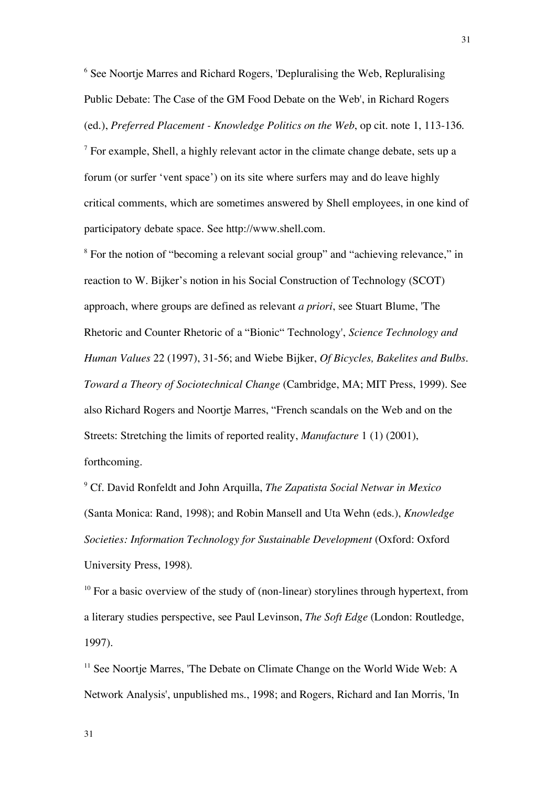<sup>6</sup> See Noortje Marres and Richard Rogers, 'Depluralising the Web, Repluralising Public Debate: The Case of the GM Food Debate on the Web', in Richard Rogers (ed.), *Preferred Placement - Knowledge Politics on the Web*, op cit. note 1, 113-136.

 $<sup>7</sup>$  For example, Shell, a highly relevant actor in the climate change debate, sets up a</sup> forum (or surfer 'vent space') on its site where surfers may and do leave highly critical comments, which are sometimes answered by Shell employees, in one kind of participatory debate space. See http://www.shell.com.

<sup>8</sup> For the notion of "becoming a relevant social group" and "achieving relevance," in reaction to W. Bijker's notion in his Social Construction of Technology (SCOT) approach, where groups are defined as relevant *a priori*, see Stuart Blume, 'The Rhetoric and Counter Rhetoric of a "Bionic" Technology', *Science Technology and Human Values* 22 (1997), 31-56; and Wiebe Bijker, *Of Bicycles, Bakelites and Bulbs. Toward a Theory of Sociotechnical Change* (Cambridge, MA; MIT Press, 1999). See also Richard Rogers and Noortje Marres, "French scandals on the Web and on the Streets: Stretching the limits of reported reality, *Manufacture* 1 (1) (2001), forthcoming.

9 Cf. David Ronfeldt and John Arquilla, *The Zapatista Social Netwar in Mexico* (Santa Monica: Rand, 1998); and Robin Mansell and Uta Wehn (eds.), *Knowledge Societies: Information Technology for Sustainable Development* (Oxford: Oxford University Press, 1998).

 $10$  For a basic overview of the study of (non-linear) storylines through hypertext, from a literary studies perspective, see Paul Levinson, *The Soft Edge* (London: Routledge, 1997).

<sup>11</sup> See Noortje Marres, 'The Debate on Climate Change on the World Wide Web: A Network Analysis', unpublished ms., 1998; and Rogers, Richard and Ian Morris, 'In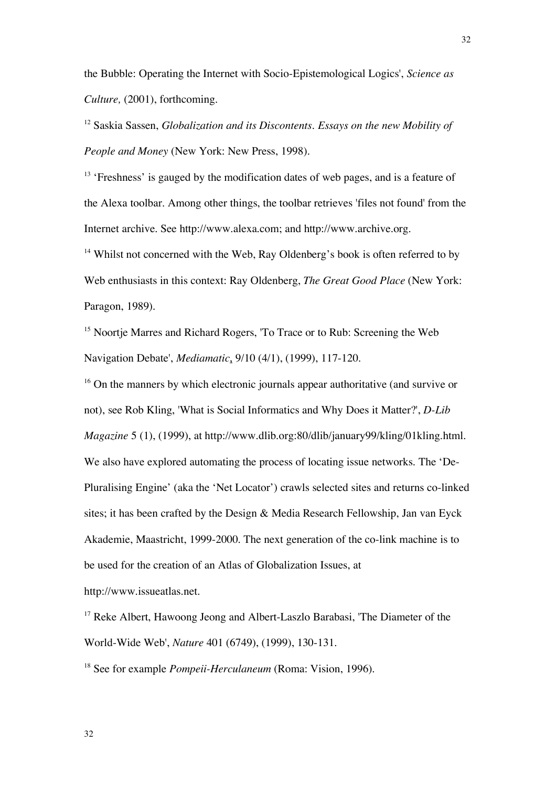the Bubble: Operating the Internet with Socio-Epistemological Logics', *Science as Culture,* (2001), forthcoming.

<sup>12</sup> Saskia Sassen, *Globalization and its Discontents, Essays on the new Mobility of People and Money* (New York: New Press, 1998).

<sup>13</sup> 'Freshness' is gauged by the modification dates of web pages, and is a feature of the Alexa toolbar. Among other things, the toolbar retrieves 'files not found' from the Internet archive. See http://www.alexa.com; and http://www.archive.org.

 $14$  Whilst not concerned with the Web, Ray Oldenberg's book is often referred to by Web enthusiasts in this context: Ray Oldenberg, *The Great Good Place* (New York: Paragon, 1989).

<sup>15</sup> Noortje Marres and Richard Rogers, 'To Trace or to Rub: Screening the Web Navigation Debate', *Mediamatic*, 9/10 (4/1), (1999), 117-120.

<sup>16</sup> On the manners by which electronic journals appear authoritative (and survive or not), see Rob Kling, 'What is Social Informatics and Why Does it Matter?', *D-Lib Magazine* 5 (1), (1999), at http://www.dlib.org:80/dlib/january99/kling/01kling.html. We also have explored automating the process of locating issue networks. The 'De-Pluralising Engine' (aka the 'Net Locator') crawls selected sites and returns co-linked sites; it has been crafted by the Design & Media Research Fellowship, Jan van Eyck Akademie, Maastricht, 1999-2000. The next generation of the co-link machine is to be used for the creation of an Atlas of Globalization Issues, at

http://www.issueatlas.net.

<sup>17</sup> Reke Albert, Hawoong Jeong and Albert-Laszlo Barabasi, 'The Diameter of the World-Wide Web', *Nature* 401 (6749), (1999), 130-131.

18 See for example *Pompeii-Herculaneum* (Roma: Vision, 1996).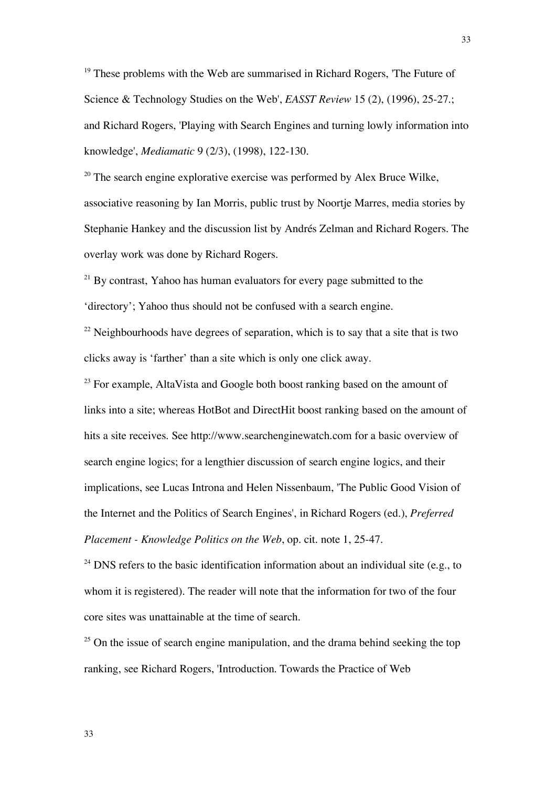$19$  These problems with the Web are summarised in Richard Rogers, The Future of Science & Technology Studies on the Web', *EASST Review* 15 (2), (1996), 25-27.; and Richard Rogers, 'Playing with Search Engines and turning lowly information into knowledge', *Mediamatic* 9 (2/3), (1998), 122-130.

 $20$  The search engine explorative exercise was performed by Alex Bruce Wilke, associative reasoning by Ian Morris, public trust by Noortje Marres, media stories by Stephanie Hankey and the discussion list by Andrés Zelman and Richard Rogers. The overlay work was done by Richard Rogers.

 $21$  By contrast, Yahoo has human evaluators for every page submitted to the 'directory'; Yahoo thus should not be confused with a search engine.

 $22$  Neighbourhoods have degrees of separation, which is to say that a site that is two clicks away is 'farther' than a site which is only one click away.

 $23$  For example, AltaVista and Google both boost ranking based on the amount of links into a site; whereas HotBot and DirectHit boost ranking based on the amount of hits a site receives. See http://www.searchenginewatch.com for a basic overview of search engine logics; for a lengthier discussion of search engine logics, and their implications, see Lucas Introna and Helen Nissenbaum, 'The Public Good Vision of the Internet and the Politics of Search Engines', in Richard Rogers (ed.), *Preferred Placement - Knowledge Politics on the Web*, op. cit. note 1, 25-47.

<sup>24</sup> DNS refers to the basic identification information about an individual site (e.g., to whom it is registered). The reader will note that the information for two of the four core sites was unattainable at the time of search.

 $25$  On the issue of search engine manipulation, and the drama behind seeking the top ranking, see Richard Rogers, 'Introduction. Towards the Practice of Web